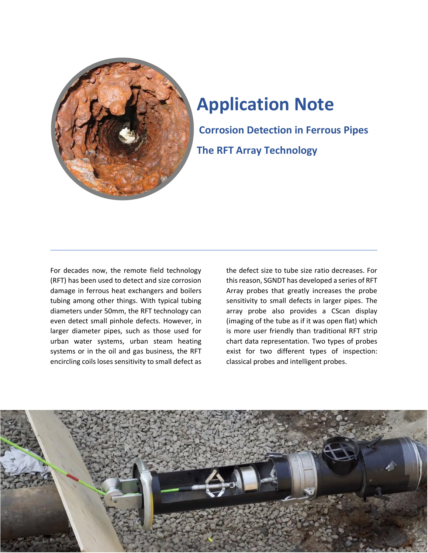

# **Application Note**

**Corrosion Detection in Ferrous Pipes The RFT Array Technology**

For decades now, the remote field technology (RFT) has been used to detect and size corrosion damage in ferrous heat exchangers and boilers tubing among other things. With typical tubing diameters under 50mm, the RFT technology can even detect small pinhole defects. However, in larger diameter pipes, such as those used for urban water systems, urban steam heating systems or in the oil and gas business, the RFT encircling coils loses sensitivity to small defect as

the defect size to tube size ratio decreases. For this reason, SGNDT has developed a series of RFT Array probes that greatly increases the probe sensitivity to small defects in larger pipes. The array probe also provides a CScan display (imaging of the tube as if it was open flat) which is more user friendly than traditional RFT strip chart data representation. Two types of probes exist for two different types of inspection: classical probes and intelligent probes.

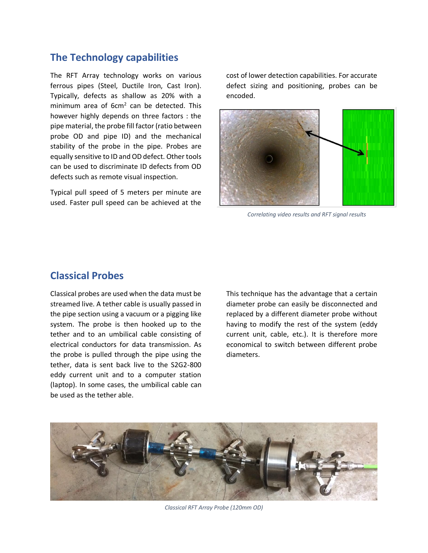## **The Technology capabilities**

The RFT Array technology works on various ferrous pipes (Steel, Ductile Iron, Cast Iron). Typically, defects as shallow as 20% with a minimum area of 6cm<sup>2</sup> can be detected. This however highly depends on three factors : the pipe material, the probe fill factor (ratio between probe OD and pipe ID) and the mechanical stability of the probe in the pipe. Probes are equally sensitive to ID and OD defect. Other tools can be used to discriminate ID defects from OD defects such as remote visual inspection.

Typical pull speed of 5 meters per minute are used. Faster pull speed can be achieved at the

cost of lower detection capabilities. For accurate defect sizing and positioning, probes can be encoded.



*Correlating video results and RFT signal results*

### **Classical Probes**

Classical probes are used when the data must be streamed live. A tether cable is usually passed in the pipe section using a vacuum or a pigging like system. The probe is then hooked up to the tether and to an umbilical cable consisting of electrical conductors for data transmission. As the probe is pulled through the pipe using the tether, data is sent back live to the S2G2-800 eddy current unit and to a computer station (laptop). In some cases, the umbilical cable can be used as the tether able.

This technique has the advantage that a certain diameter probe can easily be disconnected and replaced by a different diameter probe without having to modify the rest of the system (eddy current unit, cable, etc.). It is therefore more economical to switch between different probe diameters.



*Classical RFT Array Probe (120mm OD)*